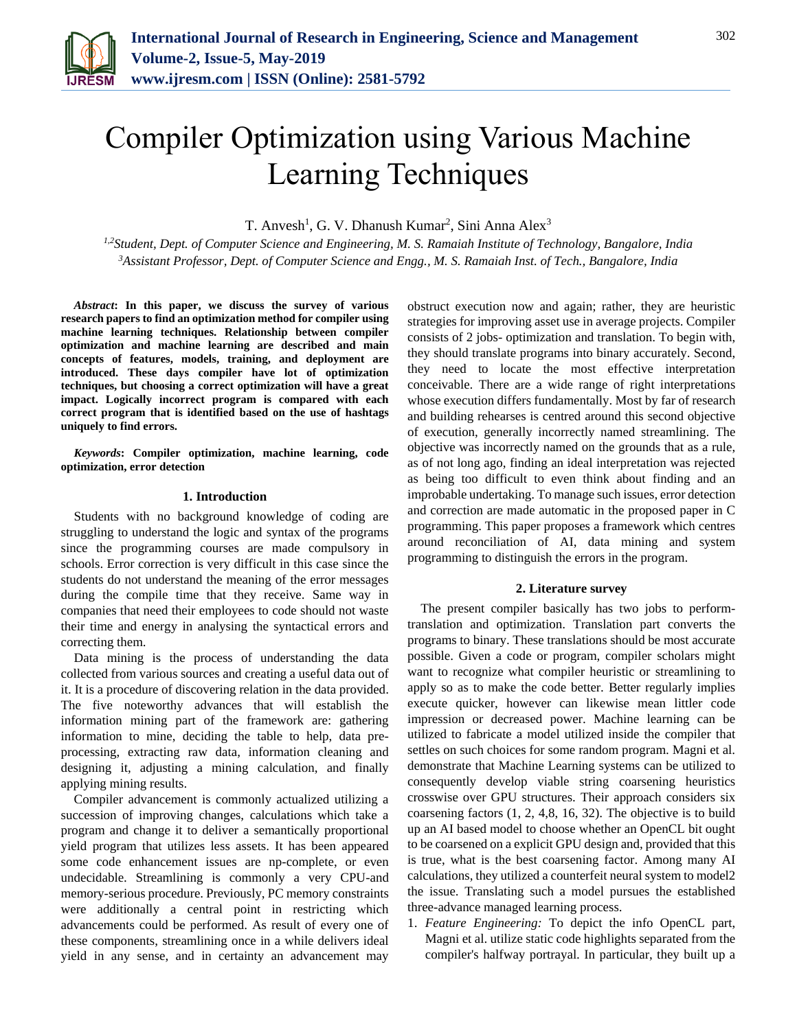

# Compiler Optimization using Various Machine Learning Techniques

T. Anvesh<sup>1</sup>, G. V. Dhanush Kumar<sup>2</sup>, Sini Anna Alex<sup>3</sup>

*1,2Student, Dept. of Computer Science and Engineering, M. S. Ramaiah Institute of Technology, Bangalore, India <sup>3</sup>Assistant Professor, Dept. of Computer Science and Engg., M. S. Ramaiah Inst. of Tech., Bangalore, India*

*Abstract***: In this paper, we discuss the survey of various research papers to find an optimization method for compiler using machine learning techniques. Relationship between compiler optimization and machine learning are described and main concepts of features, models, training, and deployment are introduced. These days compiler have lot of optimization techniques, but choosing a correct optimization will have a great impact. Logically incorrect program is compared with each correct program that is identified based on the use of hashtags uniquely to find errors.**

*Keywords***: Compiler optimization, machine learning, code optimization, error detection**

# **1. Introduction**

Students with no background knowledge of coding are struggling to understand the logic and syntax of the programs since the programming courses are made compulsory in schools. Error correction is very difficult in this case since the students do not understand the meaning of the error messages during the compile time that they receive. Same way in companies that need their employees to code should not waste their time and energy in analysing the syntactical errors and correcting them.

Data mining is the process of understanding the data collected from various sources and creating a useful data out of it. It is a procedure of discovering relation in the data provided. The five noteworthy advances that will establish the information mining part of the framework are: gathering information to mine, deciding the table to help, data preprocessing, extracting raw data, information cleaning and designing it, adjusting a mining calculation, and finally applying mining results.

Compiler advancement is commonly actualized utilizing a succession of improving changes, calculations which take a program and change it to deliver a semantically proportional yield program that utilizes less assets. It has been appeared some code enhancement issues are np-complete, or even undecidable. Streamlining is commonly a very CPU-and memory-serious procedure. Previously, PC memory constraints were additionally a central point in restricting which advancements could be performed. As result of every one of these components, streamlining once in a while delivers ideal yield in any sense, and in certainty an advancement may

obstruct execution now and again; rather, they are heuristic strategies for improving asset use in average projects. Compiler consists of 2 jobs- optimization and translation. To begin with, they should translate programs into binary accurately. Second, they need to locate the most effective interpretation conceivable. There are a wide range of right interpretations whose execution differs fundamentally. Most by far of research and building rehearses is centred around this second objective of execution, generally incorrectly named streamlining. The objective was incorrectly named on the grounds that as a rule, as of not long ago, finding an ideal interpretation was rejected as being too difficult to even think about finding and an improbable undertaking. To manage such issues, error detection and correction are made automatic in the proposed paper in C programming. This paper proposes a framework which centres around reconciliation of AI, data mining and system programming to distinguish the errors in the program.

# **2. Literature survey**

The present compiler basically has two jobs to performtranslation and optimization. Translation part converts the programs to binary. These translations should be most accurate possible. Given a code or program, compiler scholars might want to recognize what compiler heuristic or streamlining to apply so as to make the code better. Better regularly implies execute quicker, however can likewise mean littler code impression or decreased power. Machine learning can be utilized to fabricate a model utilized inside the compiler that settles on such choices for some random program. Magni et al. demonstrate that Machine Learning systems can be utilized to consequently develop viable string coarsening heuristics crosswise over GPU structures. Their approach considers six coarsening factors (1, 2, 4,8, 16, 32). The objective is to build up an AI based model to choose whether an OpenCL bit ought to be coarsened on a explicit GPU design and, provided that this is true, what is the best coarsening factor. Among many AI calculations, they utilized a counterfeit neural system to model2 the issue. Translating such a model pursues the established three-advance managed learning process.

1. *Feature Engineering:* To depict the info OpenCL part, Magni et al. utilize static code highlights separated from the compiler's halfway portrayal. In particular, they built up a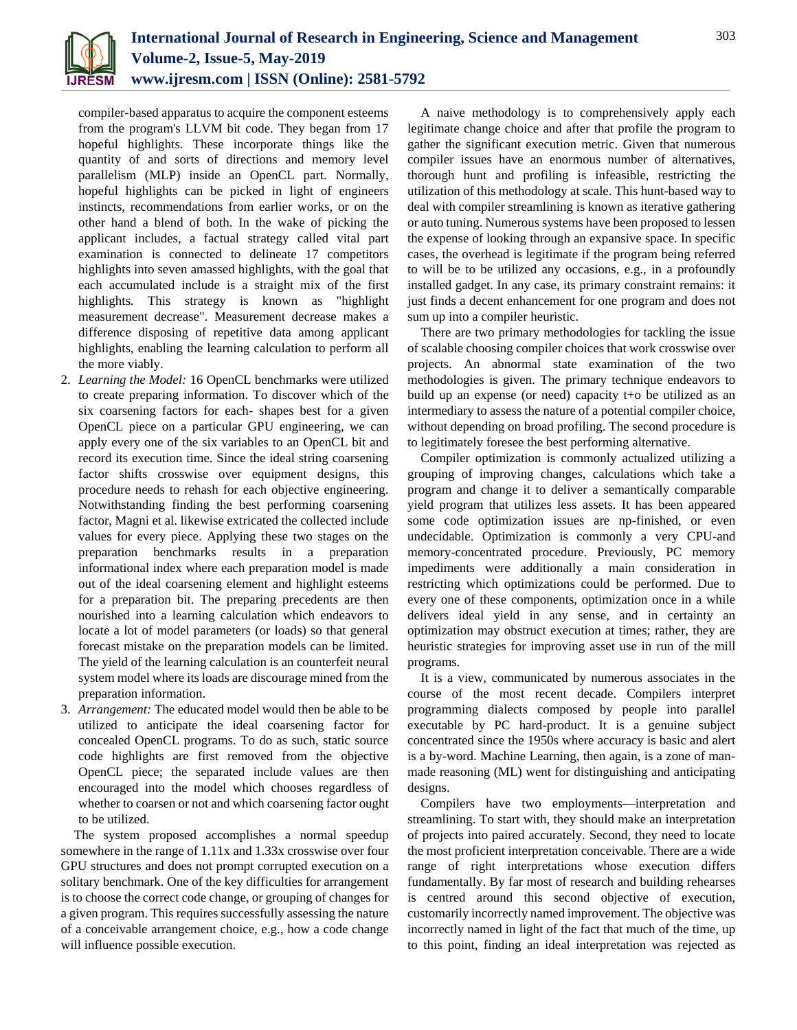

compiler-based apparatus to acquire the component esteems from the program's LLVM bit code. They began from 17 hopeful highlights. These incorporate things like the quantity of and sorts of directions and memory level parallelism (MLP) inside an OpenCL part. Normally, hopeful highlights can be picked in light of engineers instincts, recommendations from earlier works, or on the other hand a blend of both. In the wake of picking the applicant includes, a factual strategy called vital part examination is connected to delineate 17 competitors highlights into seven amassed highlights, with the goal that each accumulated include is a straight mix of the first highlights. This strategy is known as "highlight measurement decrease". Measurement decrease makes a difference disposing of repetitive data among applicant highlights, enabling the learning calculation to perform all the more viably.

- 2. *Learning the Model:* 16 OpenCL benchmarks were utilized to create preparing information. To discover which of the six coarsening factors for each- shapes best for a given OpenCL piece on a particular GPU engineering, we can apply every one of the six variables to an OpenCL bit and record its execution time. Since the ideal string coarsening factor shifts crosswise over equipment designs, this procedure needs to rehash for each objective engineering. Notwithstanding finding the best performing coarsening factor, Magni et al. likewise extricated the collected include values for every piece. Applying these two stages on the preparation benchmarks results in a preparation informational index where each preparation model is made out of the ideal coarsening element and highlight esteems for a preparation bit. The preparing precedents are then nourished into a learning calculation which endeavors to locate a lot of model parameters (or loads) so that general forecast mistake on the preparation models can be limited. The yield of the learning calculation is an counterfeit neural system model where its loads are discourage mined from the preparation information.
- 3. *Arrangement:* The educated model would then be able to be utilized to anticipate the ideal coarsening factor for concealed OpenCL programs. To do as such, static source code highlights are first removed from the objective OpenCL piece; the separated include values are then encouraged into the model which chooses regardless of whether to coarsen or not and which coarsening factor ought to be utilized.

The system proposed accomplishes a normal speedup somewhere in the range of 1.11x and 1.33x crosswise over four GPU structures and does not prompt corrupted execution on a solitary benchmark. One of the key difficulties for arrangement is to choose the correct code change, or grouping of changes for a given program. This requires successfully assessing the nature of a conceivable arrangement choice, e.g., how a code change will influence possible execution.

A naive methodology is to comprehensively apply each legitimate change choice and after that profile the program to gather the significant execution metric. Given that numerous compiler issues have an enormous number of alternatives, thorough hunt and profiling is infeasible, restricting the utilization of this methodology at scale. This hunt-based way to deal with compiler streamlining is known as iterative gathering or auto tuning. Numerous systems have been proposed to lessen the expense of looking through an expansive space. In specific cases, the overhead is legitimate if the program being referred to will be to be utilized any occasions, e.g., in a profoundly installed gadget. In any case, its primary constraint remains: it just finds a decent enhancement for one program and does not sum up into a compiler heuristic.

There are two primary methodologies for tackling the issue of scalable choosing compiler choices that work crosswise over projects. An abnormal state examination of the two methodologies is given. The primary technique endeavors to build up an expense (or need) capacity t+o be utilized as an intermediary to assess the nature of a potential compiler choice, without depending on broad profiling. The second procedure is to legitimately foresee the best performing alternative.

Compiler optimization is commonly actualized utilizing a grouping of improving changes, calculations which take a program and change it to deliver a semantically comparable yield program that utilizes less assets. It has been appeared some code optimization issues are np-finished, or even undecidable. Optimization is commonly a very CPU-and memory-concentrated procedure. Previously, PC memory impediments were additionally a main consideration in restricting which optimizations could be performed. Due to every one of these components, optimization once in a while delivers ideal yield in any sense, and in certainty an optimization may obstruct execution at times; rather, they are heuristic strategies for improving asset use in run of the mill programs.

It is a view, communicated by numerous associates in the course of the most recent decade. Compilers interpret programming dialects composed by people into parallel executable by PC hard-product. It is a genuine subject concentrated since the 1950s where accuracy is basic and alert is a by-word. Machine Learning, then again, is a zone of manmade reasoning (ML) went for distinguishing and anticipating designs.

Compilers have two employments—interpretation and streamlining. To start with, they should make an interpretation of projects into paired accurately. Second, they need to locate the most proficient interpretation conceivable. There are a wide range of right interpretations whose execution differs fundamentally. By far most of research and building rehearses is centred around this second objective of execution, customarily incorrectly named improvement. The objective was incorrectly named in light of the fact that much of the time, up to this point, finding an ideal interpretation was rejected as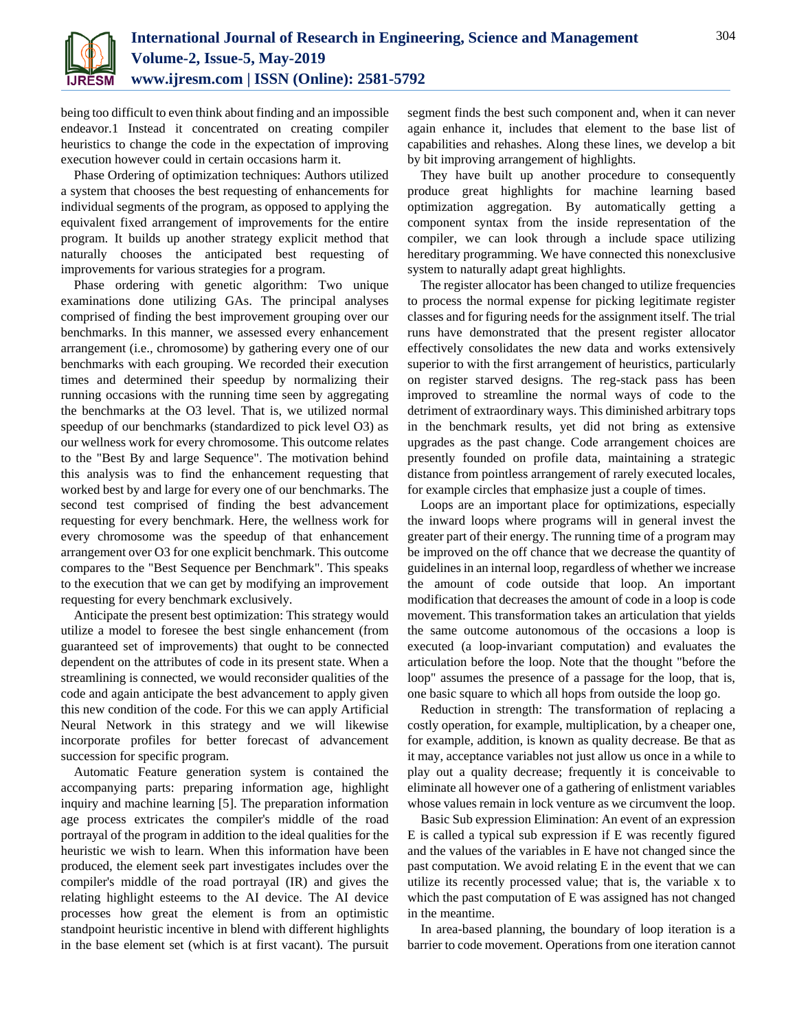

being too difficult to even think about finding and an impossible endeavor.1 Instead it concentrated on creating compiler heuristics to change the code in the expectation of improving execution however could in certain occasions harm it.

Phase Ordering of optimization techniques: Authors utilized a system that chooses the best requesting of enhancements for individual segments of the program, as opposed to applying the equivalent fixed arrangement of improvements for the entire program. It builds up another strategy explicit method that naturally chooses the anticipated best requesting of improvements for various strategies for a program.

Phase ordering with genetic algorithm: Two unique examinations done utilizing GAs. The principal analyses comprised of finding the best improvement grouping over our benchmarks. In this manner, we assessed every enhancement arrangement (i.e., chromosome) by gathering every one of our benchmarks with each grouping. We recorded their execution times and determined their speedup by normalizing their running occasions with the running time seen by aggregating the benchmarks at the O3 level. That is, we utilized normal speedup of our benchmarks (standardized to pick level O3) as our wellness work for every chromosome. This outcome relates to the "Best By and large Sequence". The motivation behind this analysis was to find the enhancement requesting that worked best by and large for every one of our benchmarks. The second test comprised of finding the best advancement requesting for every benchmark. Here, the wellness work for every chromosome was the speedup of that enhancement arrangement over O3 for one explicit benchmark. This outcome compares to the "Best Sequence per Benchmark". This speaks to the execution that we can get by modifying an improvement requesting for every benchmark exclusively.

Anticipate the present best optimization: This strategy would utilize a model to foresee the best single enhancement (from guaranteed set of improvements) that ought to be connected dependent on the attributes of code in its present state. When a streamlining is connected, we would reconsider qualities of the code and again anticipate the best advancement to apply given this new condition of the code. For this we can apply Artificial Neural Network in this strategy and we will likewise incorporate profiles for better forecast of advancement succession for specific program.

Automatic Feature generation system is contained the accompanying parts: preparing information age, highlight inquiry and machine learning [5]. The preparation information age process extricates the compiler's middle of the road portrayal of the program in addition to the ideal qualities for the heuristic we wish to learn. When this information have been produced, the element seek part investigates includes over the compiler's middle of the road portrayal (IR) and gives the relating highlight esteems to the AI device. The AI device processes how great the element is from an optimistic standpoint heuristic incentive in blend with different highlights in the base element set (which is at first vacant). The pursuit segment finds the best such component and, when it can never again enhance it, includes that element to the base list of capabilities and rehashes. Along these lines, we develop a bit by bit improving arrangement of highlights.

They have built up another procedure to consequently produce great highlights for machine learning based optimization aggregation. By automatically getting a component syntax from the inside representation of the compiler, we can look through a include space utilizing hereditary programming. We have connected this nonexclusive system to naturally adapt great highlights.

The register allocator has been changed to utilize frequencies to process the normal expense for picking legitimate register classes and for figuring needs for the assignment itself. The trial runs have demonstrated that the present register allocator effectively consolidates the new data and works extensively superior to with the first arrangement of heuristics, particularly on register starved designs. The reg-stack pass has been improved to streamline the normal ways of code to the detriment of extraordinary ways. This diminished arbitrary tops in the benchmark results, yet did not bring as extensive upgrades as the past change. Code arrangement choices are presently founded on profile data, maintaining a strategic distance from pointless arrangement of rarely executed locales, for example circles that emphasize just a couple of times.

Loops are an important place for optimizations, especially the inward loops where programs will in general invest the greater part of their energy. The running time of a program may be improved on the off chance that we decrease the quantity of guidelines in an internal loop, regardless of whether we increase the amount of code outside that loop. An important modification that decreases the amount of code in a loop is code movement. This transformation takes an articulation that yields the same outcome autonomous of the occasions a loop is executed (a loop-invariant computation) and evaluates the articulation before the loop. Note that the thought "before the loop" assumes the presence of a passage for the loop, that is, one basic square to which all hops from outside the loop go.

Reduction in strength: The transformation of replacing a costly operation, for example, multiplication, by a cheaper one, for example, addition, is known as quality decrease. Be that as it may, acceptance variables not just allow us once in a while to play out a quality decrease; frequently it is conceivable to eliminate all however one of a gathering of enlistment variables whose values remain in lock venture as we circumvent the loop.

Basic Sub expression Elimination: An event of an expression E is called a typical sub expression if E was recently figured and the values of the variables in E have not changed since the past computation. We avoid relating E in the event that we can utilize its recently processed value; that is, the variable x to which the past computation of E was assigned has not changed in the meantime.

In area-based planning, the boundary of loop iteration is a barrier to code movement. Operations from one iteration cannot